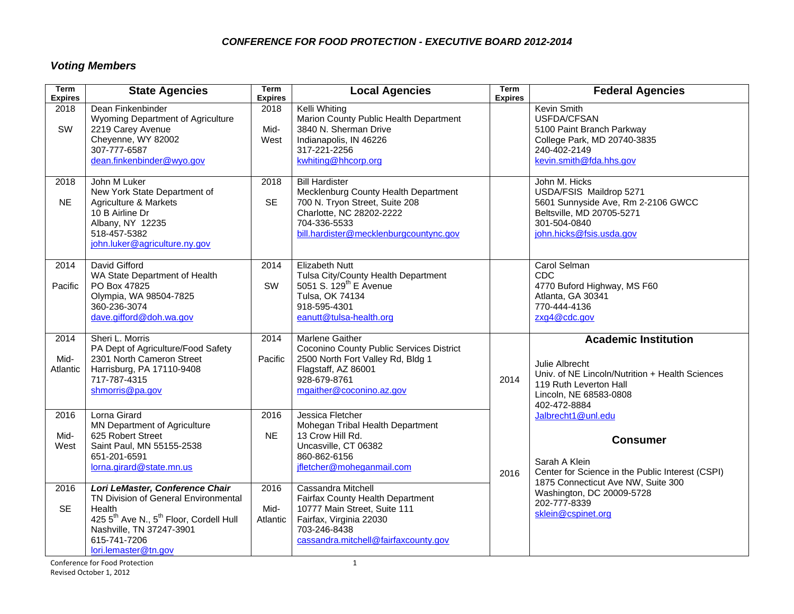### *CONFERENCE FOR FOOD PROTECTION - EXECUTIVE BOARD 2012-2014*

# *Voting Members*

| <b>Term</b><br><b>Expires</b> | <b>State Agencies</b>                                                                                                                                                                                                    | <b>Term</b><br><b>Expires</b> | <b>Local Agencies</b>                                                                                                                                                                 | <b>Term</b><br><b>Expires</b> | <b>Federal Agencies</b>                                                                                                                                                                                             |
|-------------------------------|--------------------------------------------------------------------------------------------------------------------------------------------------------------------------------------------------------------------------|-------------------------------|---------------------------------------------------------------------------------------------------------------------------------------------------------------------------------------|-------------------------------|---------------------------------------------------------------------------------------------------------------------------------------------------------------------------------------------------------------------|
| 2018<br>SW                    | Dean Finkenbinder<br>Wyoming Department of Agriculture<br>2219 Carey Avenue<br>Cheyenne, WY 82002<br>307-777-6587<br>dean.finkenbinder@wyo.gov                                                                           | 2018<br>Mid-<br>West          | Kelli Whiting<br>Marion County Public Health Department<br>3840 N. Sherman Drive<br>Indianapolis, IN 46226<br>317-221-2256<br>kwhiting@hhcorp.org                                     |                               | Kevin Smith<br>USFDA/CFSAN<br>5100 Paint Branch Parkway<br>College Park, MD 20740-3835<br>240-402-2149<br>kevin.smith@fda.hhs.gov                                                                                   |
| 2018<br><b>NE</b>             | John M Luker<br>New York State Department of<br>Agriculture & Markets<br>10 B Airline Dr<br>Albany, NY 12235<br>518-457-5382<br>john.luker@agriculture.ny.gov                                                            | 2018<br><b>SE</b>             | <b>Bill Hardister</b><br>Mecklenburg County Health Department<br>700 N. Tryon Street, Suite 208<br>Charlotte, NC 28202-2222<br>704-336-5533<br>bill.hardister@mecklenburgcountync.gov |                               | John M. Hicks<br>USDA/FSIS Maildrop 5271<br>5601 Sunnyside Ave, Rm 2-2106 GWCC<br>Beltsville, MD 20705-5271<br>301-504-0840<br>john.hicks@fsis.usda.gov                                                             |
| 2014<br>Pacific               | David Gifford<br>WA State Department of Health<br>PO Box 47825<br>Olympia, WA 98504-7825<br>360-236-3074<br>dave.gifford@doh.wa.gov                                                                                      | 2014<br>SW                    | <b>Elizabeth Nutt</b><br>Tulsa City/County Health Department<br>5051 S. 129 <sup>th</sup> E Avenue<br>Tulsa, OK 74134<br>918-595-4301<br>eanutt@tulsa-health.org                      |                               | Carol Selman<br>CDC<br>4770 Buford Highway, MS F60<br>Atlanta, GA 30341<br>770-444-4136<br>zxg4@cdc.gov                                                                                                             |
| 2014<br>Mid-<br>Atlantic      | Sheri L. Morris<br>PA Dept of Agriculture/Food Safety<br>2301 North Cameron Street<br>Harrisburg, PA 17110-9408<br>717-787-4315<br>shmorris@pa.gov                                                                       | 2014<br>Pacific               | <b>Marlene Gaither</b><br>Coconino County Public Services District<br>2500 North Fort Valley Rd, Bldg 1<br>Flagstaff, AZ 86001<br>928-679-8761<br>mgaither@coconino.az.gov            | 2014                          | <b>Academic Institution</b><br>Julie Albrecht<br>Univ. of NE Lincoln/Nutrition + Health Sciences<br>119 Ruth Leverton Hall<br>Lincoln, NE 68583-0808<br>402-472-8884                                                |
| 2016<br>Mid-<br>West          | Lorna Girard<br><b>MN Department of Agriculture</b><br>625 Robert Street<br>Saint Paul, MN 55155-2538<br>651-201-6591<br>lorna.girard@state.mn.us                                                                        | 2016<br><b>NE</b>             | Jessica Fletcher<br>Mohegan Tribal Health Department<br>13 Crow Hill Rd.<br>Uncasville, CT 06382<br>860-862-6156<br>jfletcher@moheganmail.com                                         | 2016                          | Jalbrecht1@unl.edu<br><b>Consumer</b><br>Sarah A Klein<br>Center for Science in the Public Interest (CSPI)<br>1875 Connecticut Ave NW, Suite 300<br>Washington, DC 20009-5728<br>202-777-8339<br>sklein@cspinet.org |
| 2016<br><b>SE</b>             | Lori LeMaster, Conference Chair<br>TN Division of General Environmental<br>Health<br>425 5 <sup>th</sup> Ave N., 5 <sup>th</sup> Floor, Cordell Hull<br>Nashville, TN 37247-3901<br>615-741-7206<br>lori.lemaster@tn.gov | 2016<br>Mid-<br>Atlantic      | Cassandra Mitchell<br>Fairfax County Health Department<br>10777 Main Street, Suite 111<br>Fairfax, Virginia 22030<br>703-246-8438<br>cassandra.mitchell@fairfaxcounty.gov             |                               |                                                                                                                                                                                                                     |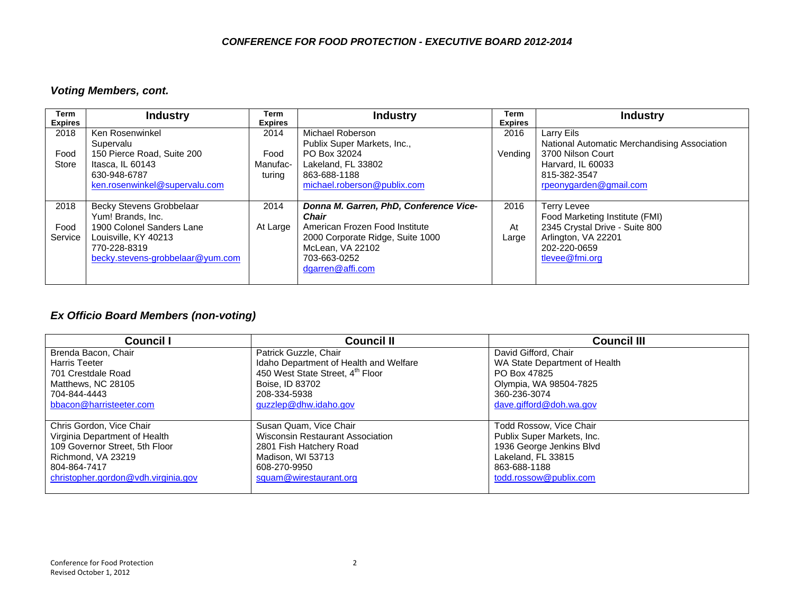#### *CONFERENCE FOR FOOD PROTECTION - EXECUTIVE BOARD 2012-2014*

### *Voting Members, cont.*

| Term<br><b>Expires</b> | <b>Industry</b>                  | Term<br><b>Expires</b> | <b>Industry</b>                        | Term<br><b>Expires</b> | <b>Industry</b>                              |
|------------------------|----------------------------------|------------------------|----------------------------------------|------------------------|----------------------------------------------|
| 2018                   | Ken Rosenwinkel                  | 2014                   | Michael Roberson                       | 2016                   | Larry Eils                                   |
|                        | Supervalu                        |                        | Publix Super Markets, Inc.,            |                        | National Automatic Merchandising Association |
| Food                   | 150 Pierce Road, Suite 200       | Food                   | PO Box 32024                           | Vending                | 3700 Nilson Court                            |
| Store                  | Itasca. IL 60143                 | Manufac-               | Lakeland. FL 33802                     |                        | Harvard. IL 60033                            |
|                        | 630-948-6787                     | turing                 | 863-688-1188                           |                        | 815-382-3547                                 |
|                        | ken.rosenwinkel@supervalu.com    |                        | michael.roberson@publix.com            |                        | rpeonygarden@gmail.com                       |
|                        |                                  |                        |                                        |                        |                                              |
| 2018                   | <b>Becky Stevens Grobbelaar</b>  | 2014                   | Donna M. Garren, PhD, Conference Vice- | 2016                   | <b>Terry Levee</b>                           |
|                        | Yum! Brands, Inc.                |                        | <b>Chair</b>                           |                        | Food Marketing Institute (FMI)               |
| Food                   | 1900 Colonel Sanders Lane        | At Large               | American Frozen Food Institute         | At                     | 2345 Crystal Drive - Suite 800               |
| Service                | Louisville, KY 40213             |                        | 2000 Corporate Ridge, Suite 1000       | Large                  | Arlington, VA 22201                          |
|                        | 770-228-8319                     |                        | McLean, VA 22102                       |                        | 202-220-0659                                 |
|                        | becky.stevens-grobbelaar@yum.com |                        | 703-663-0252                           |                        | tlevee@fmi.org                               |
|                        |                                  |                        | dgarren@affi.com                       |                        |                                              |
|                        |                                  |                        |                                        |                        |                                              |

## *Ex Officio Board Members (non-voting)*

| <b>Council I</b>                    | <b>Council II</b>                      | <b>Council III</b>            |
|-------------------------------------|----------------------------------------|-------------------------------|
| Brenda Bacon, Chair                 | Patrick Guzzle, Chair                  | David Gifford, Chair          |
| Harris Teeter                       | Idaho Department of Health and Welfare | WA State Department of Health |
| 701 Crestdale Road                  | 450 West State Street, 4th Floor       | PO Box 47825                  |
| Matthews, NC 28105                  | Boise, ID 83702                        | Olympia, WA 98504-7825        |
| 704-844-4443                        | 208-334-5938                           | 360-236-3074                  |
| bbacon@harristeeter.com             | guzzlep@dhw.idaho.gov                  | dave.gifford@doh.wa.gov       |
|                                     |                                        |                               |
| Chris Gordon, Vice Chair            | Susan Quam, Vice Chair                 | Todd Rossow, Vice Chair       |
| Virginia Department of Health       | Wisconsin Restaurant Association       | Publix Super Markets, Inc.    |
| 109 Governor Street, 5th Floor      | 2801 Fish Hatchery Road                | 1936 George Jenkins Blvd      |
| Richmond, VA 23219                  | Madison, WI 53713                      | Lakeland. FL 33815            |
| 804-864-7417                        | 608-270-9950                           | 863-688-1188                  |
| christopher.gordon@vdh.virginia.gov | squam@wirestaurant.org                 | todd.rossow@publix.com        |
|                                     |                                        |                               |